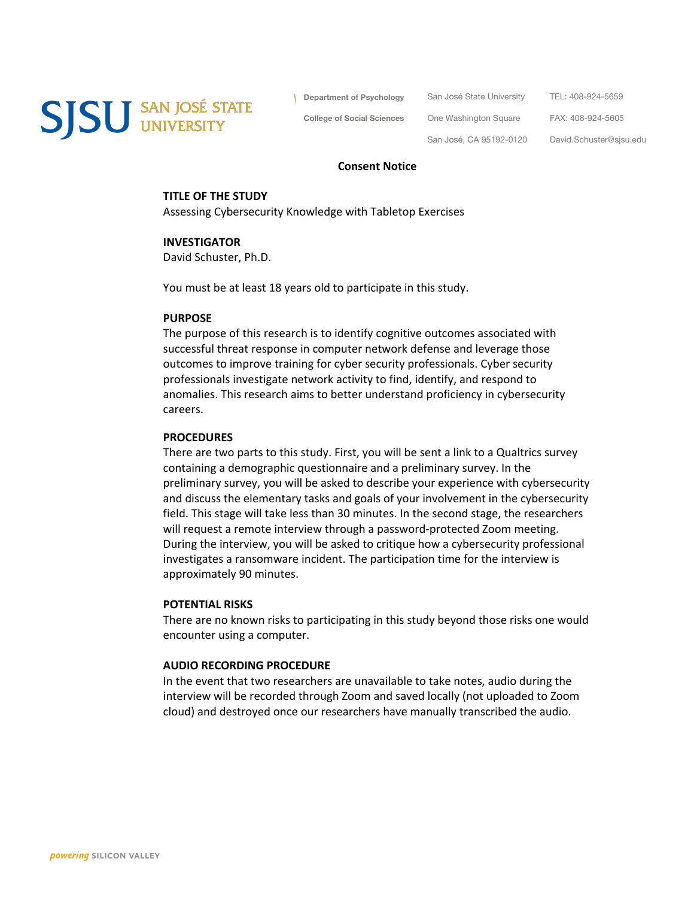**SJSU** SAN JOSÉ STATE

**Department of Psychology**

San José State University

**College of Social Sciences**

TEL: 408-924-5659

FAX: 408-924-5605

San José, CA 95192-0120

One Washington Square

David.Schuster@sjsu.edu

#### **Consent Notice**

#### **TITLE OF THE STUDY**

Assessing Cybersecurity Knowledge with Tabletop Exercises

#### **INVESTIGATOR**

David Schuster, Ph.D.

You must be at least 18 years old to participate in this study.

### **PURPOSE**

The purpose of this research is to identify cognitive outcomes associated with successful threat response in computer network defense and leverage those outcomes to improve training for cyber security professionals. Cyber security professionals investigate network activity to find, identify, and respond to anomalies. This research aims to better understand proficiency in cybersecurity careers.

### **PROCEDURES**

There are two parts to this study. First, you will be sent a link to a Qualtrics survey containing a demographic questionnaire and a preliminary survey. In the preliminary survey, you will be asked to describe your experience with cybersecurity and discuss the elementary tasks and goals of your involvement in the cybersecurity field. This stage will take less than 30 minutes. In the second stage, the researchers will request a remote interview through a password-protected Zoom meeting. During the interview, you will be asked to critique how a cybersecurity professional investigates a ransomware incident. The participation time for the interview is approximately 90 minutes.

### **POTENTIAL RISKS**

There are no known risks to participating in this study beyond those risks one would encounter using a computer.

#### **AUDIO RECORDING PROCEDURE**

In the event that two researchers are unavailable to take notes, audio during the interview will be recorded through Zoom and saved locally (not uploaded to Zoom cloud) and destroyed once our researchers have manually transcribed the audio.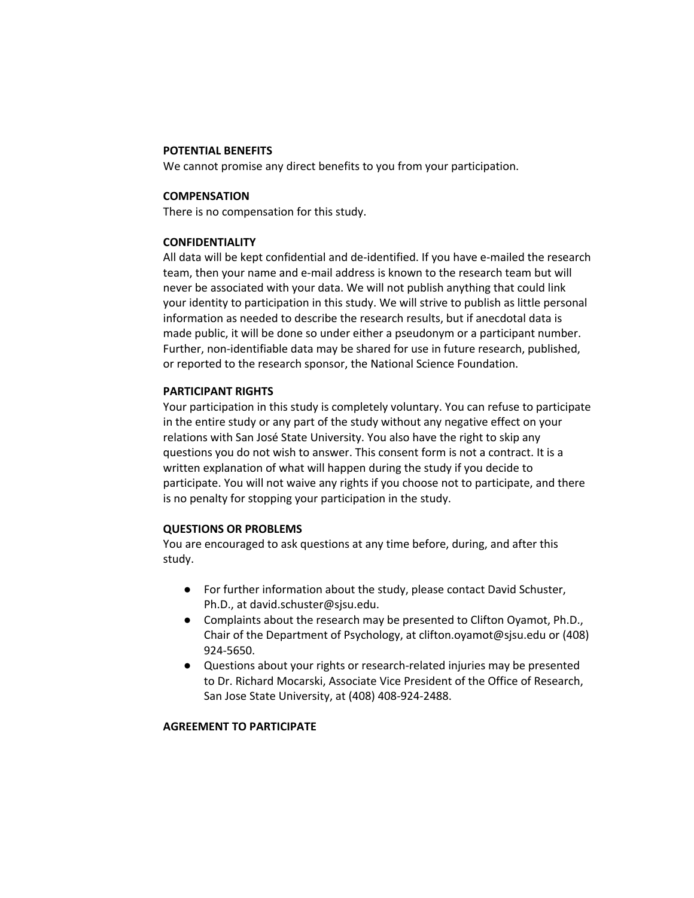### **POTENTIAL BENEFITS**

We cannot promise any direct benefits to you from your participation.

## **COMPENSATION**

There is no compensation for this study.

# **CONFIDENTIALITY**

All data will be kept confidential and de-identified. If you have e-mailed the research team, then your name and e-mail address is known to the research team but will never be associated with your data. We will not publish anything that could link your identity to participation in this study. We will strive to publish as little personal information as needed to describe the research results, but if anecdotal data is made public, it will be done so under either a pseudonym or a participant number. Further, non-identifiable data may be shared for use in future research, published, or reported to the research sponsor, the National Science Foundation.

# **PARTICIPANT RIGHTS**

Your participation in this study is completely voluntary. You can refuse to participate in the entire study or any part of the study without any negative effect on your relations with San José State University. You also have the right to skip any questions you do not wish to answer. This consent form is not a contract. It is a written explanation of what will happen during the study if you decide to participate. You will not waive any rights if you choose not to participate, and there is no penalty for stopping your participation in the study.

# **QUESTIONS OR PROBLEMS**

You are encouraged to ask questions at any time before, during, and after this study.

- For further information about the study, please contact David Schuster, Ph.D., at david.schuster@sjsu.edu.
- Complaints about the research may be presented to Clifton Oyamot, Ph.D., Chair of the Department of Psychology, at clifton.oyamot@sjsu.edu or (408) 924-5650.
- Questions about your rights or research-related injuries may be presented to Dr. Richard Mocarski, Associate Vice President of the Office of Research, San Jose State University, at (408) 408-924-2488.

# **AGREEMENT TO PARTICIPATE**